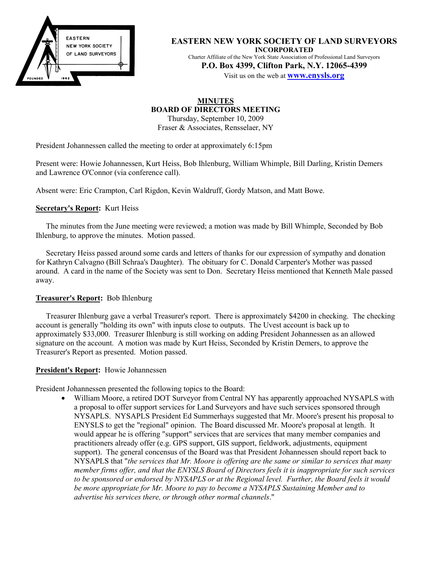

**EASTERN NEW YORK SOCIETY OF LAND SURVEYORS INCORPORATED** Charter Affiliate of the New York State Association of Professional Land Surveyors **P.O. Box 4399, Clifton Park, N.Y. 12065-4399**

Visit us on the web at **www.enysls.org**

### **MINUTES BOARD OF DIRECTORS MEETING** Thursday, September 10, 2009

Fraser & Associates, Rensselaer, NY

President Johannessen called the meeting to order at approximately 6:15pm

Present were: Howie Johannessen, Kurt Heiss, Bob Ihlenburg, William Whimple, Bill Darling, Kristin Demers and Lawrence O'Connor (via conference call).

Absent were: Eric Crampton, Carl Rigdon, Kevin Waldruff, Gordy Matson, and Matt Bowe.

# **Secretary's Report:** Kurt Heiss

The minutes from the June meeting were reviewed; a motion was made by Bill Whimple, Seconded by Bob Ihlenburg, to approve the minutes. Motion passed.

Secretary Heiss passed around some cards and letters of thanks for our expression of sympathy and donation for Kathryn Calvagno (Bill Schraa's Daughter). The obituary for C. Donald Carpenter's Mother was passed around. A card in the name of the Society was sent to Don. Secretary Heiss mentioned that Kenneth Male passed away.

## **Treasurer's Report:** Bob Ihlenburg

Treasurer Ihlenburg gave a verbal Treasurer's report. There is approximately \$4200 in checking. The checking account is generally "holding its own" with inputs close to outputs. The Uvest account is back up to approximately \$33,000. Treasurer Ihlenburg is still working on adding President Johannessen as an allowed signature on the account. A motion was made by Kurt Heiss, Seconded by Kristin Demers, to approve the Treasurer's Report as presented. Motion passed.

#### **President's Report:** Howie Johannessen

President Johannessen presented the following topics to the Board:

• William Moore, a retired DOT Surveyor from Central NY has apparently approached NYSAPLS with a proposal to offer support services for Land Surveyors and have such services sponsored through NYSAPLS. NYSAPLS President Ed Summerhays suggested that Mr. Moore's present his proposal to ENYSLS to get the "regional" opinion. The Board discussed Mr. Moore's proposal at length. It would appear he is offering "support" services that are services that many member companies and practitioners already offer (e.g. GPS support, GIS support, fieldwork, adjustments, equipment support). The general concensus of the Board was that President Johannessen should report back to NYSAPLS that "*the services that Mr. Moore is offering are the same or similar to services that many member firms offer, and that the ENYSLS Board of Directors feels it is inappropriate for such services to be sponsored or endorsed by NYSAPLS or at the Regional level. Further, the Board feels it would be more appropriate for Mr. Moore to pay to become a NYSAPLS Sustaining Member and to advertise his services there, or through other normal channels*."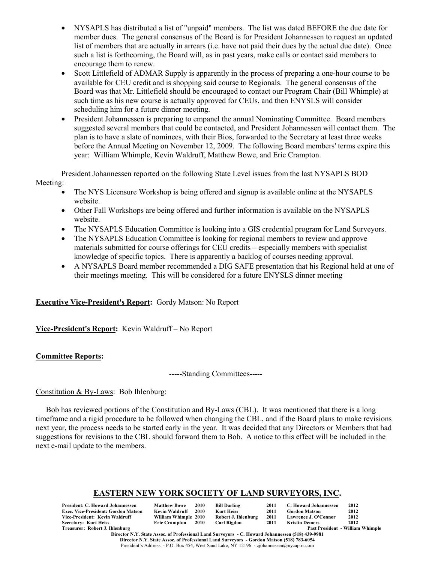- NYSAPLS has distributed a list of "unpaid" members. The list was dated BEFORE the due date for member dues. The general consensus of the Board is for President Johannessen to request an updated list of members that are actually in arrears (i.e. have not paid their dues by the actual due date). Once such a list is forthcoming, the Board will, as in past years, make calls or contact said members to encourage them to renew.
- Scott Littlefield of ADMAR Supply is apparently in the process of preparing a one-hour course to be available for CEU credit and is shopping said course to Regionals. The general consensus of the Board was that Mr. Littlefield should be encouraged to contact our Program Chair (Bill Whimple) at such time as his new course is actually approved for CEUs, and then ENYSLS will consider scheduling him for a future dinner meeting.
- President Johannessen is preparing to empanel the annual Nominating Committee. Board members suggested several members that could be contacted, and President Johannessen will contact them. The plan is to have a slate of nominees, with their Bios, forwarded to the Secretary at least three weeks before the Annual Meeting on November 12, 2009. The following Board members' terms expire this year: William Whimple, Kevin Waldruff, Matthew Bowe, and Eric Crampton.

President Johannessen reported on the following State Level issues from the last NYSAPLS BOD Meeting:

- The NYS Licensure Workshop is being offered and signup is available online at the NYSAPLS website.
- Other Fall Workshops are being offered and further information is available on the NYSAPLS website.
- The NYSAPLS Education Committee is looking into a GIS credential program for Land Surveyors.
- The NYSAPLS Education Committee is looking for regional members to review and approve materials submitted for course offerings for CEU credits – especially members with specialist knowledge of specific topics. There is apparently a backlog of courses needing approval.
- A NYSAPLS Board member recommended a DIG SAFE presentation that his Regional held at one of their meetings meeting. This will be considered for a future ENYSLS dinner meeting

# **Executive Vice-President's Report:** Gordy Matson: No Report

**Vice-President's Report:** Kevin Waldruff – No Report

# **Committee Reports:**

-----Standing Committees-----

# Constitution & By-Laws: Bob Ihlenburg:

Bob has reviewed portions of the Constitution and By-Laws (CBL). It was mentioned that there is a long timeframe and a rigid procedure to be followed when changing the CBL, and if the Board plans to make revisions next year, the process needs to be started early in the year. It was decided that any Directors or Members that had suggestions for revisions to the CBL should forward them to Bob. A notice to this effect will be included in the next e-mail update to the members.

# **EASTERN NEW YORK SOCIETY OF LAND SURVEYORS, INC.**

| President: C. Howard Johannessen    | <b>Matthew Bowe</b>  | <b>2010</b> | Bill Darling        | 2011 | C. Howard Johannessen | 2012                                    |
|-------------------------------------|----------------------|-------------|---------------------|------|-----------------------|-----------------------------------------|
| Exec. Vice-President: Gordon Matson | Kevin Waldruff       | 2010        | Kurt Heiss          | 2011 | <b>Gordon Matson</b>  | 2012                                    |
| Vice-President: Kevin Waldruff      | William Whimple 2010 |             | Robert J. Ihlenburg | 2011 | Lawrence J. O'Connor  | 2012                                    |
| Secretary: Kurt Heiss               | Eric Crampton 2010   |             | Carl Rigdon         | 2011 | <b>Kristin Demers</b> | 2012                                    |
| Treasurer: Robert J. Ihlenburg      |                      |             |                     |      |                       | <b>Past President - William Whimple</b> |

**Director N.Y. State Assoc. of Professional Land Surveyors - C. Howard Johannessen (518) 439-9981 Director N.Y. State Assoc. of Professional Land Surveyors - Gordon Matson (518) 783-6054** President's Address - P.O. Box 454, West Sand Lake, NY 12196 - cjohannessen@nycap.rr.com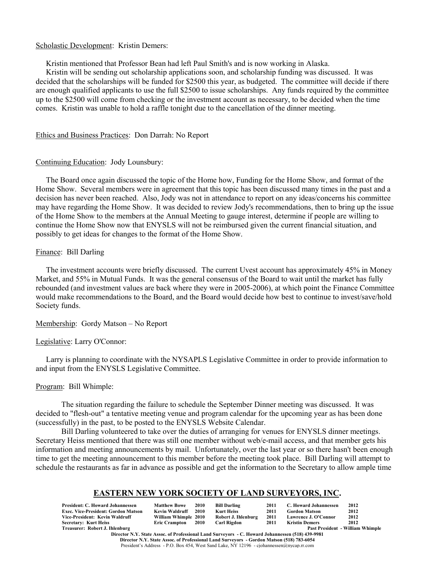#### Scholastic Development: Kristin Demers:

Kristin mentioned that Professor Bean had left Paul Smith's and is now working in Alaska.

Kristin will be sending out scholarship applications soon, and scholarship funding was discussed. It was decided that the scholarships will be funded for \$2500 this year, as budgeted. The committee will decide if there are enough qualified applicants to use the full \$2500 to issue scholarships. Any funds required by the committee up to the \$2500 will come from checking or the investment account as necessary, to be decided when the time comes. Kristin was unable to hold a raffle tonight due to the cancellation of the dinner meeting.

### Ethics and Business Practices: Don Darrah: No Report

### Continuing Education: Jody Lounsbury:

The Board once again discussed the topic of the Home how, Funding for the Home Show, and format of the Home Show. Several members were in agreement that this topic has been discussed many times in the past and a decision has never been reached. Also, Jody was not in attendance to report on any ideas/concerns his committee may have regarding the Home Show. It was decided to review Jody's recommendations, then to bring up the issue of the Home Show to the members at the Annual Meeting to gauge interest, determine if people are willing to continue the Home Show now that ENYSLS will not be reimbursed given the current financial situation, and possibly to get ideas for changes to the format of the Home Show.

# Finance: Bill Darling

The investment accounts were briefly discussed. The current Uvest account has approximately 45% in Money Market, and 55% in Mutual Funds. It was the general consensus of the Board to wait until the market has fully rebounded (and investment values are back where they were in 2005-2006), at which point the Finance Committee would make recommendations to the Board, and the Board would decide how best to continue to invest/save/hold Society funds.

Membership: Gordy Matson – No Report

#### Legislative: Larry O'Connor:

Larry is planning to coordinate with the NYSAPLS Legislative Committee in order to provide information to and input from the ENYSLS Legislative Committee.

Program: Bill Whimple:

The situation regarding the failure to schedule the September Dinner meeting was discussed. It was decided to "flesh-out" a tentative meeting venue and program calendar for the upcoming year as has been done (successfully) in the past, to be posted to the ENYSLS Website Calendar.

Bill Darling volunteered to take over the duties of arranging for venues for ENYSLS dinner meetings. Secretary Heiss mentioned that there was still one member without web/e-mail access, and that member gets his information and meeting announcements by mail. Unfortunately, over the last year or so there hasn't been enough time to get the meeting announcement to this member before the meeting took place. Bill Darling will attempt to schedule the restaurants as far in advance as possible and get the information to the Secretary to allow ample time

# **EASTERN NEW YORK SOCIETY OF LAND SURVEYORS, INC.**

| <b>Matthew Bowe</b> | 2010 |                                                    | 2011                                                      |                      | 2012                                                                   |
|---------------------|------|----------------------------------------------------|-----------------------------------------------------------|----------------------|------------------------------------------------------------------------|
| Kevin Waldruff      |      | Kurt Heiss                                         | 2011                                                      |                      | 2012                                                                   |
|                     |      |                                                    | 2011                                                      | Lawrence J. O'Connor | 2012                                                                   |
|                     |      |                                                    | 2011                                                      |                      | 2012                                                                   |
|                     |      |                                                    |                                                           |                      | <b>Past President - William Whimple</b>                                |
|                     |      | 2010<br>William Whimple 2010<br>Eric Crampton 2010 | <b>Bill Darling</b><br>Robert J. Ihlenburg<br>Carl Rigdon |                      | C. Howard Johannessen<br><b>Gordon Matson</b><br><b>Kristin Demers</b> |

**Director N.Y. State Assoc. of Professional Land Surveyors - C. Howard Johannessen (518) 439-9981 Director N.Y. State Assoc. of Professional Land Surveyors - Gordon Matson (518) 783-6054** President's Address - P.O. Box 454, West Sand Lake, NY 12196 - cjohannessen@nycap.rr.com